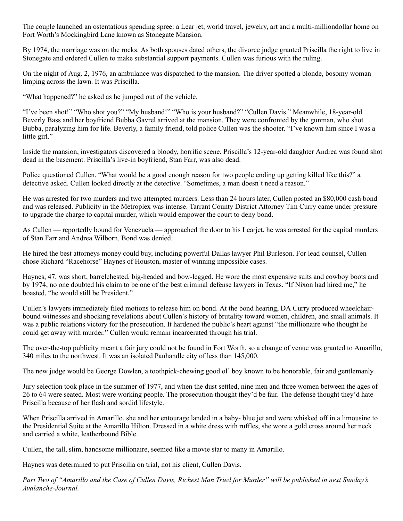The couple launched an ostentatious spending spree: a Lear jet, world travel, jewelry, art and a multi-milliondollar home on Fort Worth's Mockingbird Lane known as Stonegate Mansion.

By 1974, the marriage was on the rocks. As both spouses dated others, the divorce judge granted Priscilla the right to live in Stonegate and ordered Cullen to make substantial support payments. Cullen was furious with the ruling.

On the night of Aug. 2, 1976, an ambulance was dispatched to the mansion. The driver spotted a blonde, bosomy woman limping across the lawn. It was Priscilla.

"What happened?" he asked as he jumped out of the vehicle.

"I've been shot!" "Who shot you?" "My husband!" "Who is your husband?" "Cullen Davis." Meanwhile, 18-year-old Beverly Bass and her boyfriend Bubba Gavrel arrived at the mansion. They were confronted by the gunman, who shot Bubba, paralyzing him for life. Beverly, a family friend, told police Cullen was the shooter. "I've known him since I was a little girl."

Inside the mansion, investigators discovered a bloody, horrific scene. Priscilla's 12-year-old daughter Andrea was found shot dead in the basement. Priscilla's live-in boyfriend, Stan Farr, was also dead.

Police questioned Cullen. "What would be a good enough reason for two people ending up getting killed like this?" a detective asked. Cullen looked directly at the detective. "Sometimes, a man doesn't need a reason."

He was arrested for two murders and two attempted murders. Less than 24 hours later, Cullen posted an \$80,000 cash bond and was released. Publicity in the Metroplex was intense. Tarrant County District Attorney Tim Curry came under pressure to upgrade the charge to capital murder, which would empower the court to deny bond.

As Cullen — reportedly bound for Venezuela — approached the door to his Learjet, he was arrested for the capital murders of Stan Farr and Andrea Wilborn. Bond was denied.

He hired the best attorneys money could buy, including powerful Dallas lawyer Phil Burleson. For lead counsel, Cullen chose Richard "Racehorse" Haynes of Houston, master of winning impossible cases.

Haynes, 47, was short, barrelchested, big-headed and bow-legged. He wore the most expensive suits and cowboy boots and by 1974, no one doubted his claim to be one of the best criminal defense lawyers in Texas. "If Nixon had hired me," he boasted, "he would still be President."

Cullen's lawyers immediately filed motions to release him on bond. At the bond hearing, DA Curry produced wheelchairbound witnesses and shocking revelations about Cullen's history of brutality toward women, children, and small animals. It was a public relations victory for the prosecution. It hardened the public's heart against "the millionaire who thought he could get away with murder." Cullen would remain incarcerated through his trial.

The over-the-top publicity meant a fair jury could not be found in Fort Worth, so a change of venue was granted to Amarillo, 340 miles to the northwest. It was an isolated Panhandle city of less than 145,000.

The new judge would be George Dowlen, a toothpick-chewing good ol' boy known to be honorable, fair and gentlemanly.

Jury selection took place in the summer of 1977, and when the dust settled, nine men and three women between the ages of 26 to 64 were seated. Most were working people. The prosecution thought they'd be fair. The defense thought they'd hate Priscilla because of her flash and sordid lifestyle.

When Priscilla arrived in Amarillo, she and her entourage landed in a baby- blue jet and were whisked off in a limousine to the Presidential Suite at the Amarillo Hilton. Dressed in a white dress with ruffles, she wore a gold cross around her neck and carried a white, leatherbound Bible.

Cullen, the tall, slim, handsome millionaire, seemed like a movie star to many in Amarillo.

Haynes was determined to put Priscilla on trial, not his client, Cullen Davis.

*Part Two of "Amarillo and the Case of Cullen Davis, Richest Man Tried for Murder" will be published in next Sunday's Avalanche-Journal.*